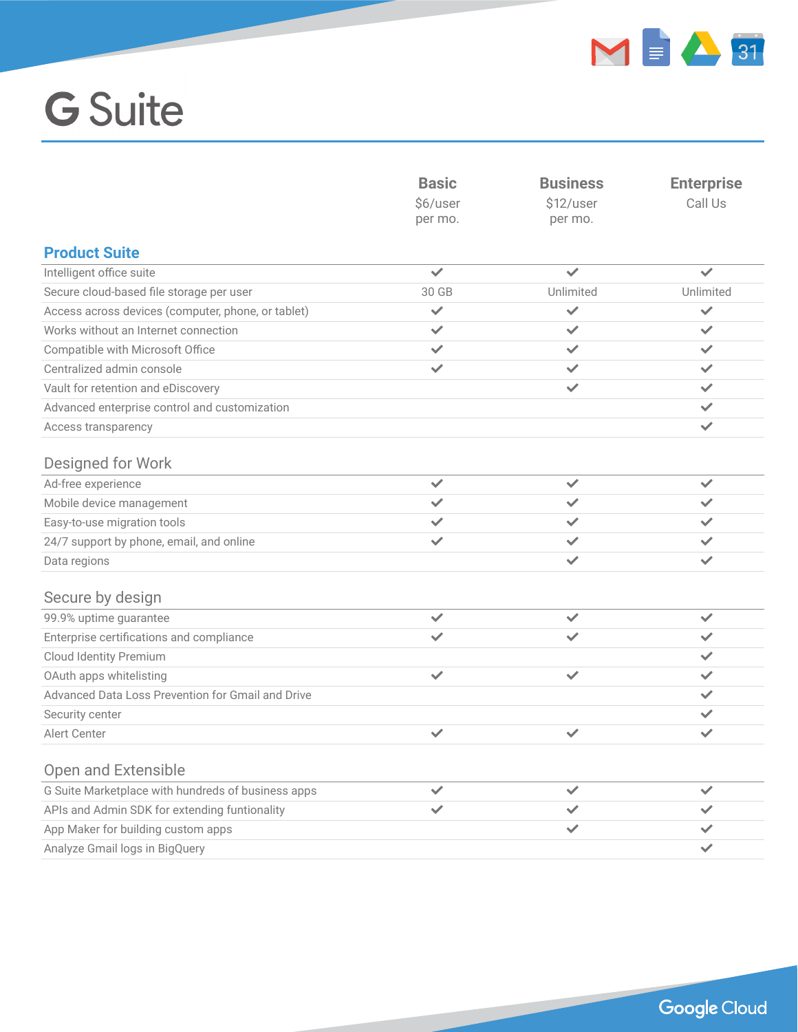

|                                                    | <b>Basic</b><br>\$6/user<br>per mo. | <b>Business</b><br>\$12/user<br>per mo. | <b>Enterprise</b><br>Call Us |
|----------------------------------------------------|-------------------------------------|-----------------------------------------|------------------------------|
| <b>Product Suite</b>                               |                                     |                                         |                              |
| Intelligent office suite                           | $\checkmark$                        | $\checkmark$                            | $\checkmark$                 |
| Secure cloud-based file storage per user           | 30 GB                               | Unlimited                               | Unlimited                    |
| Access across devices (computer, phone, or tablet) | $\checkmark$                        | $\checkmark$                            | $\checkmark$                 |
| Works without an Internet connection               | $\checkmark$                        | ✓                                       | $\checkmark$                 |
| Compatible with Microsoft Office                   | $\checkmark$                        | ✓                                       | $\checkmark$                 |
| Centralized admin console                          | $\checkmark$                        | ✓                                       | $\checkmark$                 |
| Vault for retention and eDiscovery                 |                                     | $\checkmark$                            | ✓                            |
| Advanced enterprise control and customization      |                                     |                                         | $\checkmark$                 |
| Access transparency                                |                                     |                                         | $\checkmark$                 |
| Designed for Work                                  |                                     |                                         |                              |
| Ad-free experience                                 | $\checkmark$                        | $\checkmark$                            | $\checkmark$                 |
| Mobile device management                           | ✓                                   | ✓                                       | ✓                            |
| Easy-to-use migration tools                        | ✓                                   | ✓                                       | ✓                            |
| 24/7 support by phone, email, and online           | $\checkmark$                        | ✓                                       | ✓                            |
| Data regions                                       |                                     | $\checkmark$                            | $\checkmark$                 |
| Secure by design                                   |                                     |                                         |                              |
| 99.9% uptime guarantee                             | $\checkmark$                        | $\checkmark$                            | $\checkmark$                 |
| Enterprise certifications and compliance           | ✓                                   | ✓                                       | ✓                            |
| Cloud Identity Premium                             |                                     |                                         | ✓                            |
| OAuth apps whitelisting                            | $\checkmark$                        | $\checkmark$                            | ✓                            |
| Advanced Data Loss Prevention for Gmail and Drive  |                                     |                                         | $\checkmark$                 |
| Security center                                    |                                     |                                         | ✓                            |
| Alert Center                                       | ✓                                   | $\checkmark$                            | $\checkmark$                 |
| <b>Open and Extensible</b>                         |                                     |                                         |                              |
| G Suite Marketplace with hundreds of business apps | $\checkmark$                        | ✓                                       | $\checkmark$                 |
| APIs and Admin SDK for extending funtionality      | ✓                                   | ✓                                       |                              |
| App Maker for building custom apps                 |                                     | ✓                                       |                              |
| Analyze Gmail logs in BigQuery                     |                                     |                                         | ✓                            |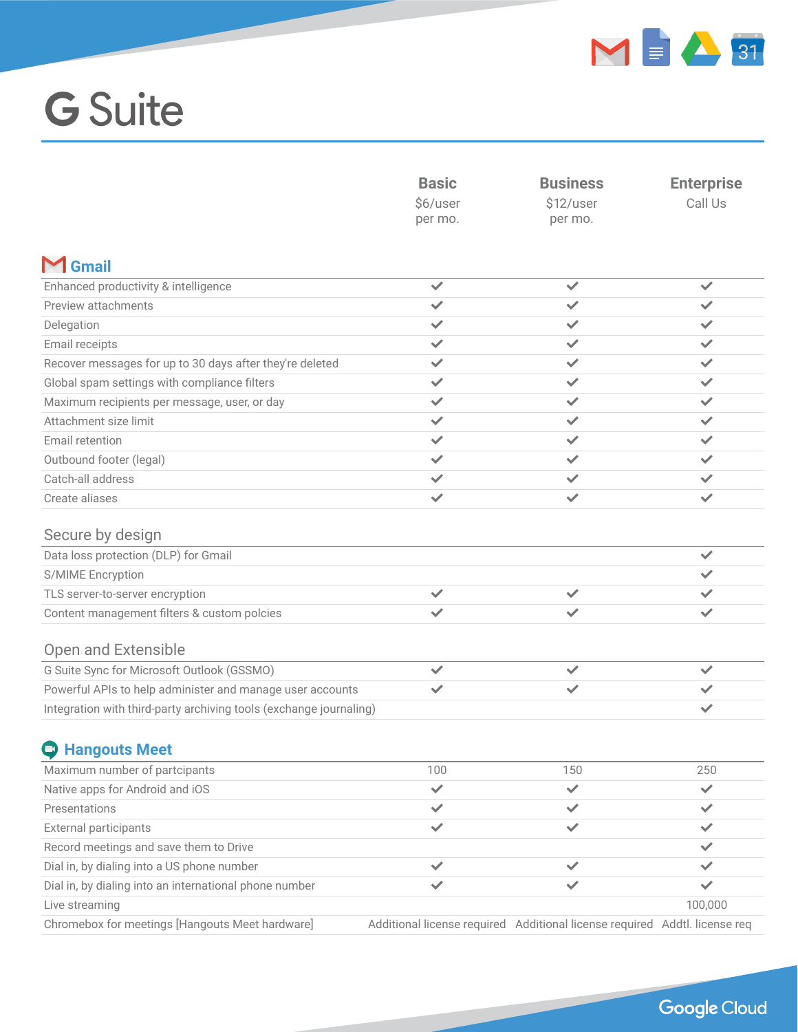

|                                                                    | <b>Basic</b><br>\$6/user | <b>Business</b><br>\$12/user                                               | <b>Enterprise</b> |
|--------------------------------------------------------------------|--------------------------|----------------------------------------------------------------------------|-------------------|
|                                                                    |                          |                                                                            | Call Us           |
|                                                                    | per mo.                  | per mo.                                                                    |                   |
|                                                                    |                          |                                                                            |                   |
| $M$ Gmail                                                          |                          |                                                                            |                   |
| Enhanced productivity & intelligence                               | $\checkmark$             | $\checkmark$                                                               | $\checkmark$      |
| Preview attachments                                                | $\checkmark$             | ✓                                                                          | $\checkmark$      |
| Delegation                                                         | ✓                        | ✓                                                                          | $\checkmark$      |
| Email receipts                                                     | $\checkmark$             | ✓                                                                          | ✓                 |
| Recover messages for up to 30 days after they're deleted           | ✓                        | ✓                                                                          | $\checkmark$      |
| Global spam settings with compliance filters                       | $\checkmark$             | ✓                                                                          | ✓                 |
| Maximum recipients per message, user, or day                       | $\checkmark$             | ✓                                                                          | ✓                 |
| Attachment size limit                                              | $\checkmark$             | ✓                                                                          | $\checkmark$      |
| Email retention                                                    | $\checkmark$             | ✓                                                                          | ✓                 |
| Outbound footer (legal)                                            | $\checkmark$             | $\checkmark$                                                               | $\checkmark$      |
| Catch-all address                                                  | $\checkmark$             | ✓                                                                          | ✓                 |
| Create aliases                                                     | $\checkmark$             | ✓                                                                          | $\checkmark$      |
| Secure by design                                                   |                          |                                                                            |                   |
| Data loss protection (DLP) for Gmail                               |                          |                                                                            | $\checkmark$      |
| S/MIME Encryption                                                  |                          |                                                                            | ✓                 |
| TLS server-to-server encryption                                    | $\checkmark$             | ✓                                                                          | ✓                 |
| Content management filters & custom polcies                        |                          |                                                                            | $\checkmark$      |
| Open and Extensible                                                |                          |                                                                            |                   |
| G Suite Sync for Microsoft Outlook (GSSMO)                         | $\checkmark$             | ✓                                                                          | $\checkmark$      |
| Powerful APIs to help administer and manage user accounts          | ✓                        | ✓                                                                          | $\checkmark$      |
| Integration with third-party archiving tools (exchange journaling) |                          |                                                                            | $\checkmark$      |
| <b>C</b> Hangouts Meet                                             |                          |                                                                            |                   |
| Maximum number of partcipants                                      | 100                      | 150                                                                        | 250               |
| Native apps for Android and iOS                                    | $\checkmark$             | $\checkmark$                                                               | $\checkmark$      |
| Presentations                                                      | $\checkmark$             | ✓                                                                          | ✓                 |
| External participants                                              | $\checkmark$             | $\checkmark$                                                               | ✓                 |
| Record meetings and save them to Drive                             |                          |                                                                            | $\checkmark$      |
| Dial in, by dialing into a US phone number                         | ✓                        | ✓                                                                          | ✓                 |
| Dial in, by dialing into an international phone number             | ✓                        | ✓                                                                          | $\checkmark$      |
| Live streaming                                                     |                          |                                                                            | 100,000           |
| Chromebox for meetings [Hangouts Meet hardware]                    |                          | Additional license required Additional license required Addtl. license req |                   |
|                                                                    |                          |                                                                            |                   |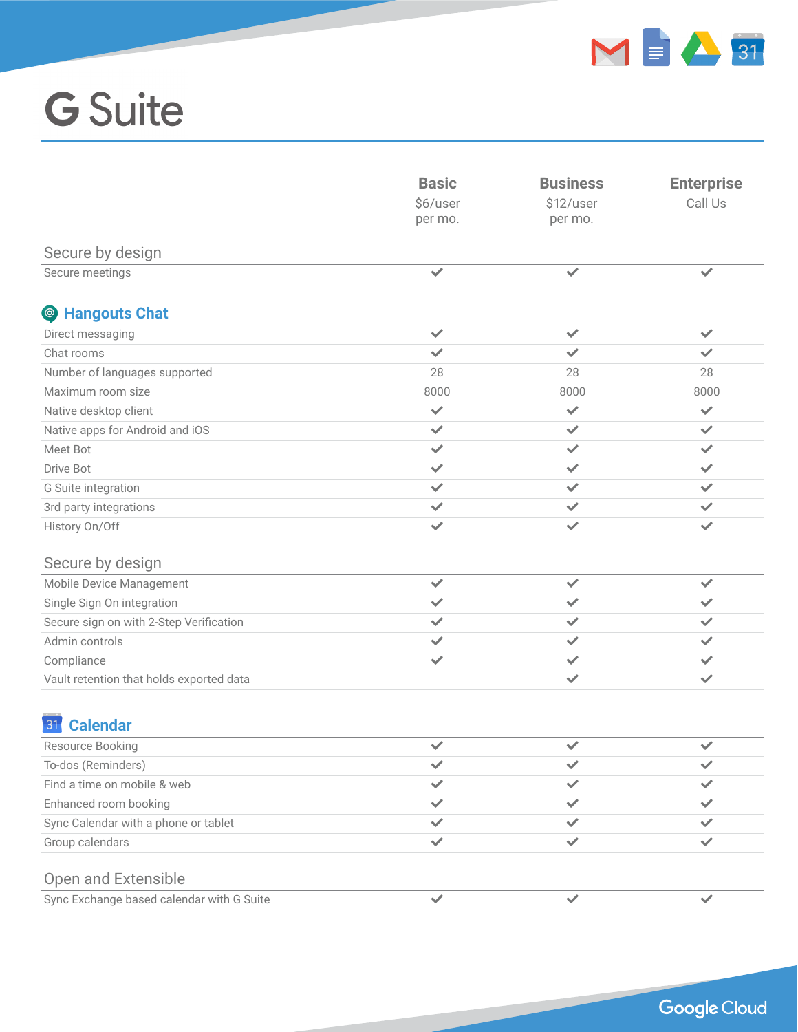

|                                           | <b>Basic</b><br>\$6/user<br>per mo. | <b>Business</b><br>\$12/user<br>per mo. | <b>Enterprise</b><br>Call Us |
|-------------------------------------------|-------------------------------------|-----------------------------------------|------------------------------|
| Secure by design                          |                                     |                                         |                              |
| Secure meetings                           | $\checkmark$                        | $\checkmark$                            | $\checkmark$                 |
| Stangouts Chat                            |                                     |                                         |                              |
| Direct messaging                          | $\checkmark$                        | $\checkmark$                            | $\checkmark$                 |
| Chat rooms                                | $\checkmark$                        | ✓                                       | $\checkmark$                 |
| Number of languages supported             | 28                                  | 28                                      | 28                           |
| Maximum room size                         | 8000                                | 8000                                    | 8000                         |
| Native desktop client                     | $\checkmark$                        | $\checkmark$                            | $\checkmark$                 |
| Native apps for Android and iOS           | $\checkmark$                        | $\checkmark$                            | $\checkmark$                 |
| Meet Bot                                  | $\checkmark$                        | ✓                                       | $\checkmark$                 |
| <b>Drive Bot</b>                          | $\checkmark$                        | $\checkmark$                            | $\checkmark$                 |
| G Suite integration                       | $\checkmark$                        | ✓                                       | $\checkmark$                 |
| 3rd party integrations                    | $\checkmark$                        | $\checkmark$                            | $\checkmark$                 |
| History On/Off                            | $\checkmark$                        | ✓                                       | $\checkmark$                 |
| Secure by design                          |                                     |                                         |                              |
| Mobile Device Management                  | $\checkmark$                        | ✓                                       | $\checkmark$                 |
| Single Sign On integration                | $\checkmark$                        | ✓                                       | $\checkmark$                 |
| Secure sign on with 2-Step Verification   | $\checkmark$                        | ✓                                       | ✓                            |
| Admin controls                            | $\checkmark$                        | ✓                                       | $\checkmark$                 |
| Compliance                                | $\checkmark$                        | ✓                                       | ✓                            |
| Vault retention that holds exported data  |                                     | $\checkmark$                            | $\checkmark$                 |
| <b>Calendar</b><br>31                     |                                     |                                         |                              |
| Resource Booking                          | $\checkmark$                        | $\checkmark$                            | $\checkmark$                 |
| To-dos (Reminders)                        | $\checkmark$                        | ✓                                       | $\checkmark$                 |
| Find a time on mobile & web               | ✓                                   | ✓                                       | $\checkmark$                 |
| Enhanced room booking                     | ✓                                   | ✓                                       | $\checkmark$                 |
| Sync Calendar with a phone or tablet      | $\checkmark$                        | ✓                                       | $\checkmark$                 |
| Group calendars                           | $\checkmark$                        | ✓                                       | ✓                            |
| Open and Extensible                       |                                     |                                         |                              |
| Sync Exchange based calendar with G Suite | $\checkmark$                        | $\checkmark$                            | $\checkmark$                 |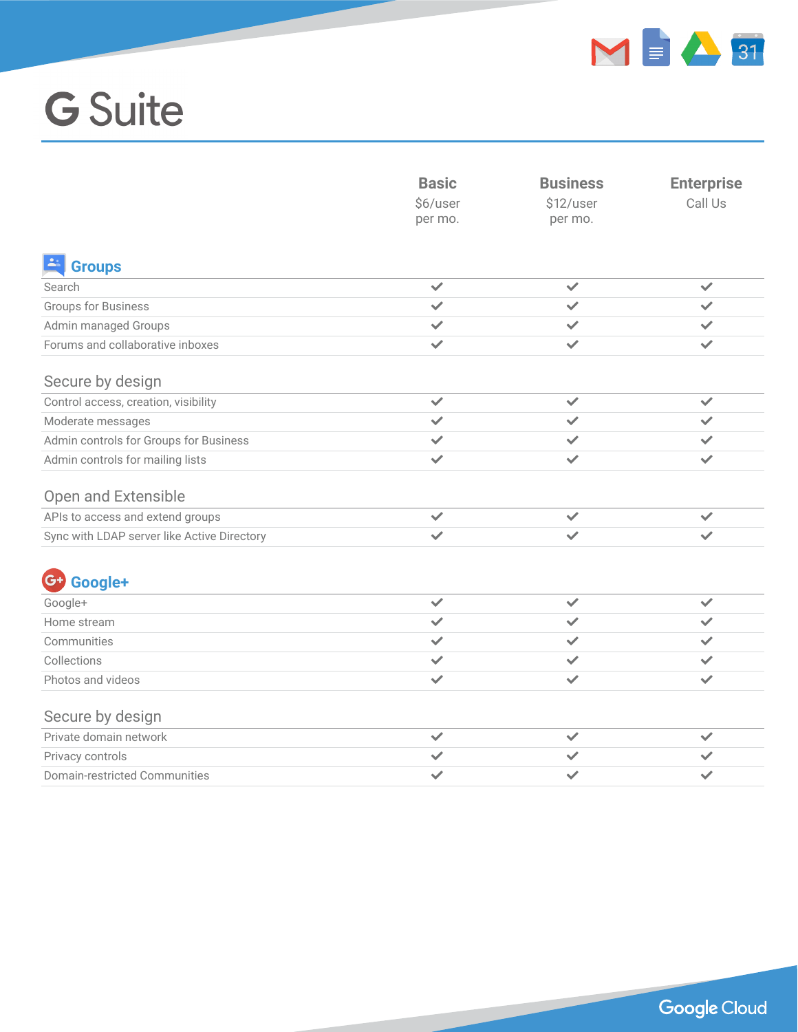

|                                             | <b>Basic</b><br>\$6/user<br>per mo. | <b>Business</b><br>\$12/user<br>per mo. | <b>Enterprise</b><br>Call Us |
|---------------------------------------------|-------------------------------------|-----------------------------------------|------------------------------|
| <b>E</b> Groups                             |                                     |                                         |                              |
| Search                                      | $\checkmark$                        | $\checkmark$                            | $\checkmark$                 |
| <b>Groups for Business</b>                  | $\checkmark$                        | $\checkmark$                            | $\checkmark$                 |
| Admin managed Groups                        | $\checkmark$                        | $\checkmark$                            | ✓                            |
| Forums and collaborative inboxes            | $\checkmark$                        | $\checkmark$                            | $\checkmark$                 |
| Secure by design                            |                                     |                                         |                              |
| Control access, creation, visibility        | $\checkmark$                        | $\checkmark$                            | $\checkmark$                 |
| Moderate messages                           | $\checkmark$                        | $\checkmark$                            | ✓                            |
| Admin controls for Groups for Business      | $\checkmark$                        | $\checkmark$                            | $\checkmark$                 |
| Admin controls for mailing lists            | $\checkmark$                        | $\checkmark$                            | $\checkmark$                 |
| <b>Open and Extensible</b>                  |                                     |                                         |                              |
| APIs to access and extend groups            | $\checkmark$                        | $\checkmark$                            | $\checkmark$                 |
| Sync with LDAP server like Active Directory | $\checkmark$                        | $\checkmark$                            |                              |
| Google+<br>$G+$                             |                                     |                                         |                              |
| Google+                                     | $\checkmark$                        | ✓                                       | $\checkmark$                 |
| Home stream                                 | $\checkmark$                        | $\checkmark$                            | $\checkmark$                 |
| Communities                                 | $\checkmark$                        | $\checkmark$                            | ✓                            |
| Collections                                 | $\checkmark$                        | ✓                                       | $\checkmark$                 |
| Photos and videos                           | $\checkmark$                        | $\checkmark$                            | $\checkmark$                 |
| Secure by design                            |                                     |                                         |                              |
| Private domain network                      | $\checkmark$                        | $\checkmark$                            | $\checkmark$                 |
| Privacy controls                            | $\checkmark$                        | $\checkmark$                            | $\checkmark$                 |
| Domain-restricted Communities               | $\checkmark$                        | ✓                                       | ✓                            |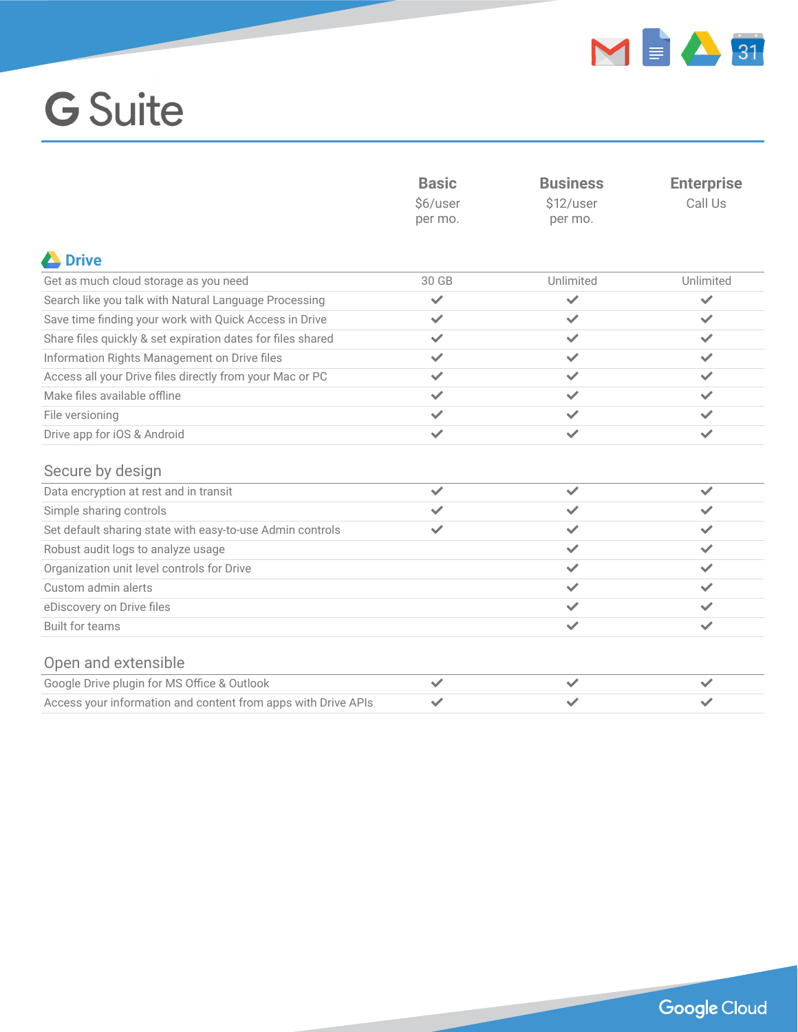

|                                                               | <b>Basic</b><br>\$6/user<br>per mo. | <b>Business</b><br>\$12/user<br>per mo. | <b>Enterprise</b><br>Call Us |
|---------------------------------------------------------------|-------------------------------------|-----------------------------------------|------------------------------|
| <b>A</b> Drive                                                |                                     |                                         |                              |
| Get as much cloud storage as you need                         | 30 GB                               | Unlimited                               | Unlimited                    |
| Search like you talk with Natural Language Processing         | $\checkmark$                        | $\checkmark$                            | $\checkmark$                 |
| Save time finding your work with Quick Access in Drive        | ✓                                   | $\checkmark$                            | ✓                            |
| Share files quickly & set expiration dates for files shared   | ✓                                   | ✓                                       | $\checkmark$                 |
| Information Rights Management on Drive files                  | $\checkmark$                        | $\checkmark$                            | $\checkmark$                 |
| Access all your Drive files directly from your Mac or PC      | ✓                                   | ✓                                       | ✓                            |
| Make files available offline                                  | $\checkmark$                        | ✓                                       | $\checkmark$                 |
| File versioning                                               | $\checkmark$                        | $\checkmark$                            | $\checkmark$                 |
| Drive app for iOS & Android                                   | $\checkmark$                        | ✓                                       | $\checkmark$                 |
| Secure by design                                              |                                     |                                         |                              |
| Data encryption at rest and in transit                        | ✓                                   | $\checkmark$                            | $\checkmark$                 |
| Simple sharing controls                                       | ✓                                   | $\checkmark$                            | ✓                            |
| Set default sharing state with easy-to-use Admin controls     | $\checkmark$                        | ✓                                       | $\checkmark$                 |
| Robust audit logs to analyze usage                            |                                     | $\checkmark$                            | $\checkmark$                 |
| Organization unit level controls for Drive                    |                                     | $\checkmark$                            | $\checkmark$                 |
| Custom admin alerts                                           |                                     | ✓                                       | $\checkmark$                 |
| eDiscovery on Drive files                                     |                                     | ✓                                       | $\checkmark$                 |
| <b>Built for teams</b>                                        |                                     | $\checkmark$                            | $\checkmark$                 |
| Open and extensible                                           |                                     |                                         |                              |
| Google Drive plugin for MS Office & Outlook                   | $\checkmark$                        | $\checkmark$                            | $\checkmark$                 |
| Access your information and content from apps with Drive APIs |                                     |                                         |                              |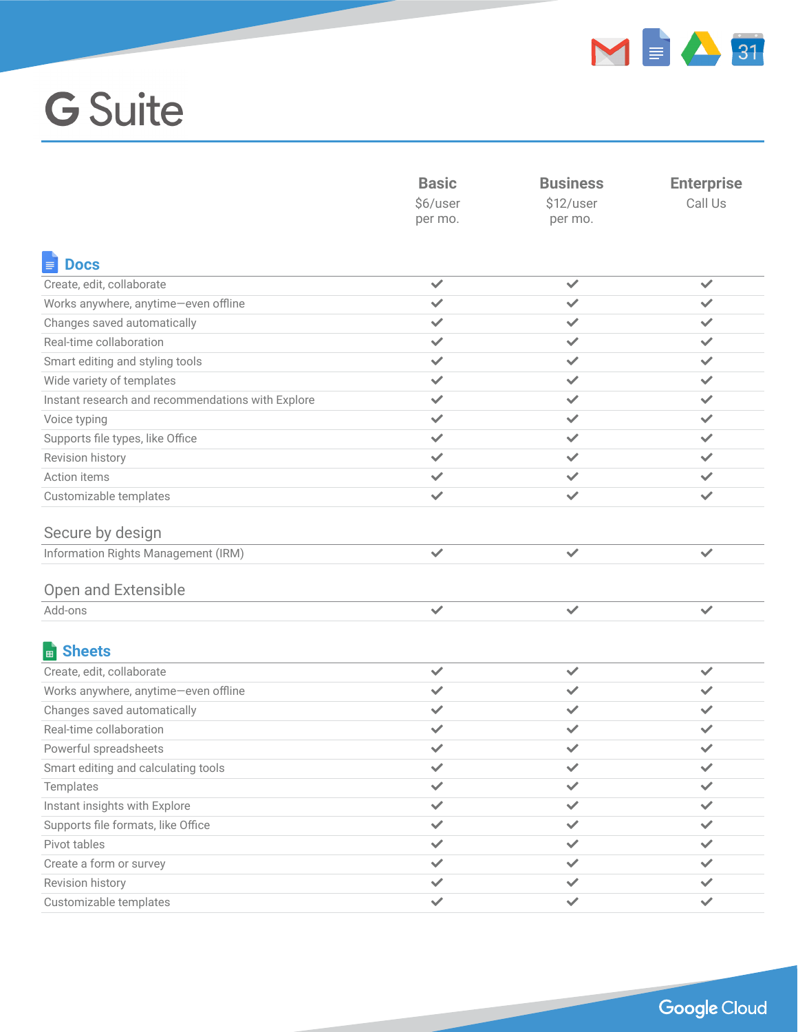

|                                                   | <b>Basic</b><br>\$6/user | <b>Business</b><br>\$12/user | <b>Enterprise</b><br>Call Us |
|---------------------------------------------------|--------------------------|------------------------------|------------------------------|
|                                                   |                          |                              |                              |
|                                                   | per mo.                  | per mo.                      |                              |
|                                                   |                          |                              |                              |
| <b>Docs</b>                                       |                          |                              |                              |
| Create, edit, collaborate                         | $\checkmark$             | ✓                            | $\checkmark$                 |
| Works anywhere, anytime-even offline              | $\checkmark$             | $\checkmark$                 | $\checkmark$                 |
| Changes saved automatically                       | $\checkmark$             | ✓                            | ✓                            |
| Real-time collaboration                           | $\checkmark$             | ✓                            | $\checkmark$                 |
| Smart editing and styling tools                   | ✓                        | ✓                            | $\checkmark$                 |
| Wide variety of templates                         | $\checkmark$             | $\checkmark$                 | ✓                            |
| Instant research and recommendations with Explore | ✓                        | ✓                            | $\checkmark$                 |
| Voice typing                                      | ✓                        | ✓                            | $\checkmark$                 |
| Supports file types, like Office                  | ✓                        | ✓                            | $\checkmark$                 |
| Revision history                                  | ✓                        | ✓                            | $\checkmark$                 |
| Action items                                      | ✓                        | ✓                            | $\checkmark$                 |
| Customizable templates                            | $\checkmark$             | ✓                            | ✓                            |
|                                                   |                          |                              |                              |
| Secure by design                                  |                          |                              |                              |
| Information Rights Management (IRM)               | $\checkmark$             | $\checkmark$                 | $\checkmark$                 |
|                                                   |                          |                              |                              |
| Open and Extensible                               |                          |                              |                              |
| Add-ons                                           | $\checkmark$             | $\checkmark$                 | $\checkmark$                 |
|                                                   |                          |                              |                              |
| <b>B</b> Sheets                                   |                          |                              |                              |
| Create, edit, collaborate                         | $\checkmark$             | $\checkmark$                 | $\checkmark$                 |
| Works anywhere, anytime-even offline              | $\checkmark$             | ✓                            | $\checkmark$                 |
| Changes saved automatically                       | $\checkmark$             | $\checkmark$                 | $\checkmark$                 |
| Real-time collaboration                           | $\checkmark$             | ✓                            | $\checkmark$                 |
| Powerful spreadsheets                             | $\checkmark$             | ✓                            | $\checkmark$                 |
| Smart editing and calculating tools               | $\checkmark$             | ✓                            | $\checkmark$                 |
| Templates                                         | ✓                        | ✓                            | ✓                            |
| Instant insights with Explore                     | ✓                        | ✓                            | $\checkmark$                 |
| Supports file formats, like Office                | ✓                        | ✓                            | $\checkmark$                 |
| Pivot tables                                      | ✓                        | ✓                            | ✓                            |
| Create a form or survey                           | ✓                        | ✓                            | ✓                            |
| Revision history                                  | $\checkmark$             |                              |                              |
| Customizable templates                            | ✓                        | ✓                            | ✓                            |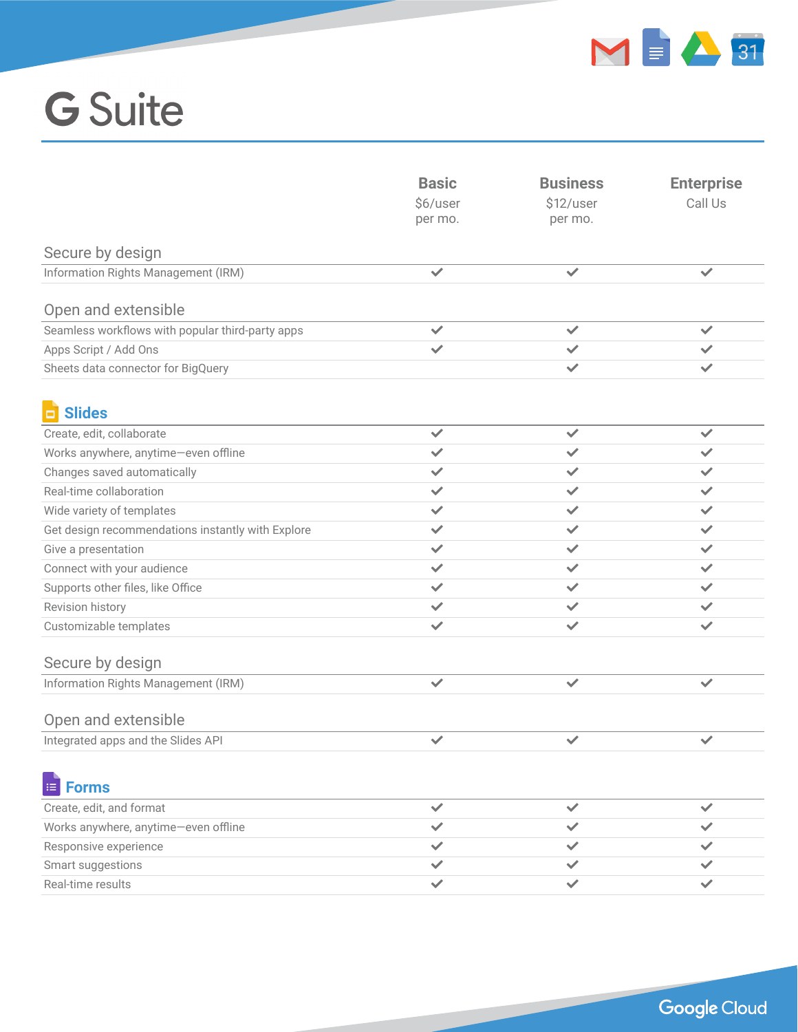

|                                                   | <b>Basic</b><br>\$6/user<br>per mo. | <b>Business</b><br>\$12/user<br>per mo. | <b>Enterprise</b><br>Call Us |
|---------------------------------------------------|-------------------------------------|-----------------------------------------|------------------------------|
| Secure by design                                  |                                     |                                         |                              |
| Information Rights Management (IRM)               | $\checkmark$                        | $\checkmark$                            | $\checkmark$                 |
| Open and extensible                               |                                     |                                         |                              |
| Seamless workflows with popular third-party apps  | $\checkmark$                        | $\checkmark$                            | $\checkmark$                 |
| Apps Script / Add Ons                             | $\checkmark$                        | ✓                                       | $\checkmark$                 |
| Sheets data connector for BigQuery                |                                     | $\checkmark$                            | $\checkmark$                 |
| <b>El Slides</b>                                  |                                     |                                         |                              |
| Create, edit, collaborate                         | $\checkmark$                        | $\checkmark$                            | $\checkmark$                 |
| Works anywhere, anytime-even offline              | $\checkmark$                        | ✓                                       | $\checkmark$                 |
| Changes saved automatically                       | ✓                                   | ✓                                       | ✓                            |
| Real-time collaboration                           | $\checkmark$                        | $\checkmark$                            | $\checkmark$                 |
| Wide variety of templates                         | ✓                                   | $\checkmark$                            | $\checkmark$                 |
| Get design recommendations instantly with Explore | $\checkmark$                        | $\checkmark$                            | $\checkmark$                 |
| Give a presentation                               | ✓                                   | ✓                                       | ✓                            |
| Connect with your audience                        | $\checkmark$                        | ✓                                       | $\checkmark$                 |
| Supports other files, like Office                 | $\checkmark$                        | ✓                                       | $\checkmark$                 |
| Revision history                                  | ✓                                   | ✓                                       | $\checkmark$                 |
| Customizable templates                            | $\checkmark$                        | $\checkmark$                            | $\checkmark$                 |
| Secure by design                                  |                                     |                                         |                              |
| Information Rights Management (IRM)               | $\checkmark$                        | ✓                                       | ✓                            |
| Open and extensible                               |                                     |                                         |                              |
| Integrated apps and the Slides API                | $\checkmark$                        | $\checkmark$                            | $\checkmark$                 |
| <b>E</b> Forms                                    |                                     |                                         |                              |
| Create, edit, and format                          | $\checkmark$                        | ✓                                       | $\checkmark$                 |
| Works anywhere, anytime-even offline              | ✓                                   |                                         | $\checkmark$                 |
| Responsive experience                             | ✓                                   |                                         |                              |
| Smart suggestions                                 | ✓                                   |                                         |                              |
| Real-time results                                 | ✓                                   | $\checkmark$                            | $\checkmark$                 |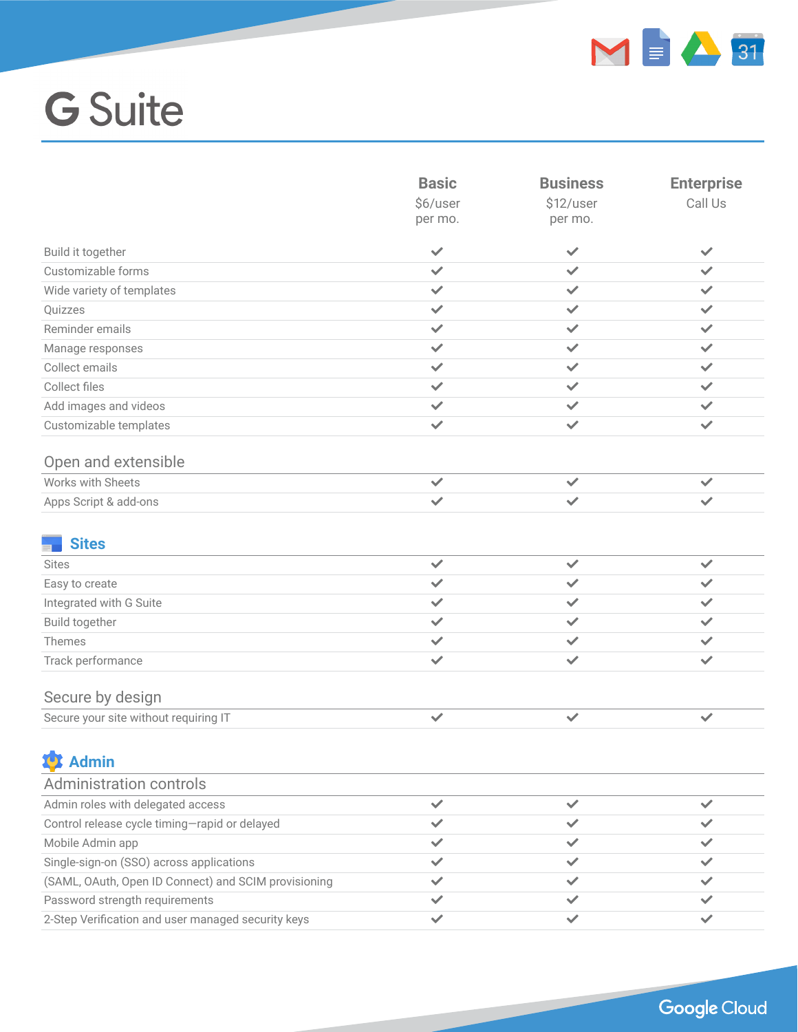

|                                                      | <b>Basic</b><br>\$6/user<br>per mo. | <b>Business</b><br>\$12/user<br>per mo. | <b>Enterprise</b><br>Call Us |
|------------------------------------------------------|-------------------------------------|-----------------------------------------|------------------------------|
| Build it together                                    | $\checkmark$                        | $\checkmark$                            | $\checkmark$                 |
| Customizable forms                                   | $\checkmark$                        | $\checkmark$                            | ✓                            |
| Wide variety of templates                            | $\checkmark$                        | ✓                                       | $\checkmark$                 |
| Quizzes                                              | ✓                                   | ✓                                       | $\checkmark$                 |
| Reminder emails                                      | $\checkmark$                        | $\checkmark$                            | $\checkmark$                 |
| Manage responses                                     | ✓                                   | ✓                                       | $\checkmark$                 |
| Collect emails                                       | ✓                                   | ✓                                       | $\checkmark$                 |
| Collect files                                        | ✓                                   | ✓                                       | $\checkmark$                 |
| Add images and videos                                | $\checkmark$                        | ✓                                       | $\checkmark$                 |
| Customizable templates                               | $\checkmark$                        | $\checkmark$                            | $\checkmark$                 |
| Open and extensible                                  |                                     |                                         |                              |
| Works with Sheets                                    | ✓                                   | $\checkmark$                            | ✓                            |
| Apps Script & add-ons                                | $\checkmark$                        | ✓                                       | $\checkmark$                 |
| <b>Sites</b>                                         |                                     |                                         |                              |
| <b>Sites</b>                                         | $\checkmark$                        | $\checkmark$                            | $\checkmark$                 |
| Easy to create                                       | ✓                                   | ✓                                       | ✓                            |
| Integrated with G Suite                              | $\checkmark$                        | ✓                                       | $\checkmark$                 |
| Build together                                       | ✓                                   | ✓                                       | ✓                            |
| Themes                                               | $\checkmark$                        | ✓                                       | $\checkmark$                 |
| Track performance                                    | ✓                                   | ✓                                       | $\checkmark$                 |
| Secure by design                                     |                                     |                                         |                              |
| Secure your site without requiring IT                | ✓                                   | ✓                                       | $\checkmark$                 |
| <b>19</b> Admin                                      |                                     |                                         |                              |
| <b>Administration controls</b>                       |                                     |                                         |                              |
| Admin roles with delegated access                    | ✓                                   | $\checkmark$                            | $\checkmark$                 |
| Control release cycle timing-rapid or delayed        | $\checkmark$                        | ✓                                       | ✓                            |
| Mobile Admin app                                     | ✓                                   |                                         | $\checkmark$                 |
| Single-sign-on (SSO) across applications             | ✓                                   | ✓                                       | ✓                            |
| (SAML, OAuth, Open ID Connect) and SCIM provisioning | ✓                                   | ✓                                       | ✓                            |
| Password strength requirements                       | ✓                                   | ✓                                       | ✓                            |
| 2-Step Verification and user managed security keys   | ✓                                   | ✓                                       | ✓                            |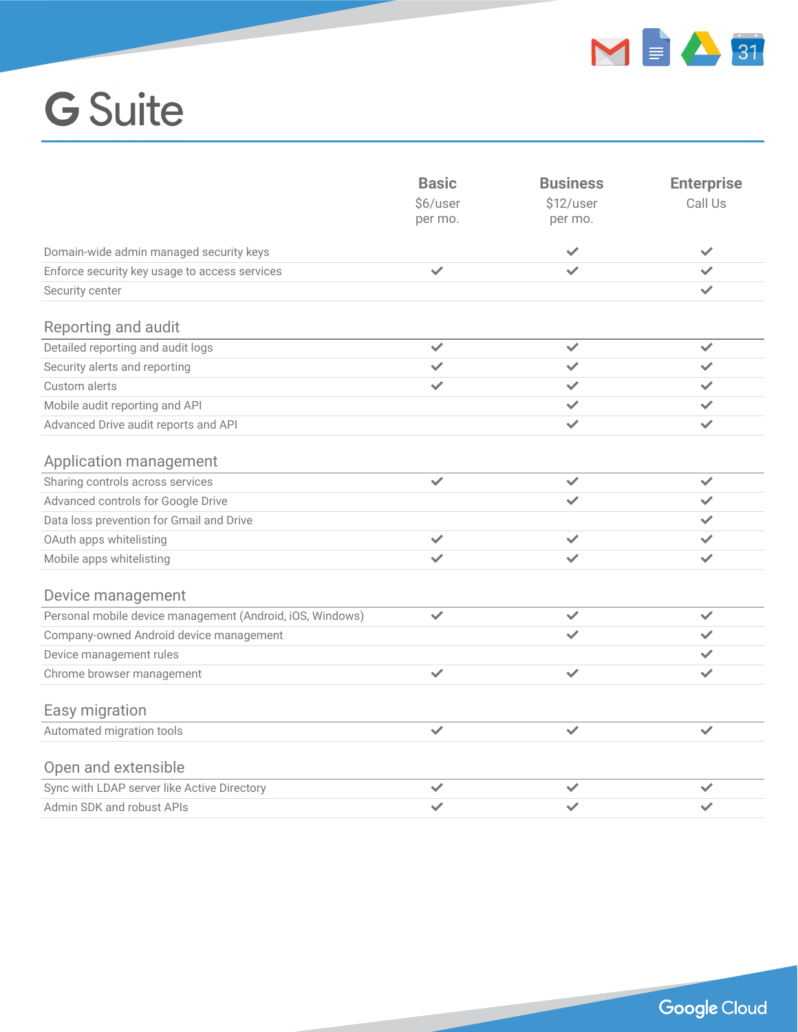

|                                                           | <b>Basic</b><br>\$6/user<br>per mo. | <b>Business</b><br>\$12/user<br>per mo. | <b>Enterprise</b><br>Call Us |
|-----------------------------------------------------------|-------------------------------------|-----------------------------------------|------------------------------|
| Domain-wide admin managed security keys                   |                                     | $\checkmark$                            | $\checkmark$                 |
| Enforce security key usage to access services             | $\checkmark$                        | $\checkmark$                            | $\checkmark$                 |
| Security center                                           |                                     |                                         | $\checkmark$                 |
| Reporting and audit                                       |                                     |                                         |                              |
| Detailed reporting and audit logs                         | $\checkmark$                        | $\checkmark$                            | $\checkmark$                 |
| Security alerts and reporting                             | $\checkmark$                        | $\checkmark$                            | $\checkmark$                 |
| Custom alerts                                             | ✓                                   | ✓                                       | $\checkmark$                 |
| Mobile audit reporting and API                            |                                     | ✓                                       | $\checkmark$                 |
| Advanced Drive audit reports and API                      |                                     | $\checkmark$                            | $\checkmark$                 |
| Application management                                    |                                     |                                         |                              |
| Sharing controls across services                          | $\checkmark$                        | $\checkmark$                            | $\checkmark$                 |
| Advanced controls for Google Drive                        |                                     | ✓                                       | $\checkmark$                 |
| Data loss prevention for Gmail and Drive                  |                                     |                                         | $\checkmark$                 |
| OAuth apps whitelisting                                   | $\checkmark$                        | $\checkmark$                            | $\checkmark$                 |
| Mobile apps whitelisting                                  | $\checkmark$                        | $\checkmark$                            | $\checkmark$                 |
| Device management                                         |                                     |                                         |                              |
| Personal mobile device management (Android, iOS, Windows) | $\checkmark$                        | $\checkmark$                            | $\checkmark$                 |
| Company-owned Android device management                   |                                     | $\checkmark$                            | $\checkmark$                 |
| Device management rules                                   |                                     |                                         | $\checkmark$                 |
| Chrome browser management                                 | $\checkmark$                        | ✓                                       | $\checkmark$                 |
| Easy migration                                            |                                     |                                         |                              |
| Automated migration tools                                 | $\checkmark$                        | $\checkmark$                            | $\checkmark$                 |
| Open and extensible                                       |                                     |                                         |                              |
| Sync with LDAP server like Active Directory               | $\checkmark$                        | $\checkmark$                            | $\checkmark$                 |
| Admin SDK and robust APIs                                 |                                     |                                         |                              |